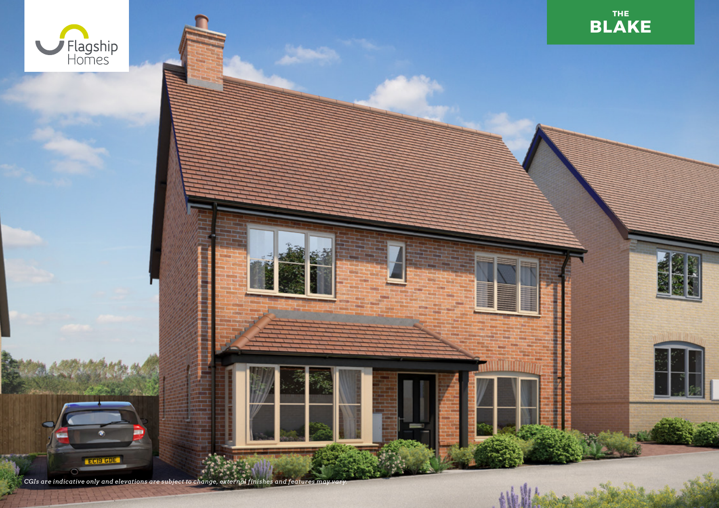

*CGIs are indicative only and elevations are subject to change, external finishes and features may vary.*

ECIS GDE

 $\bullet$